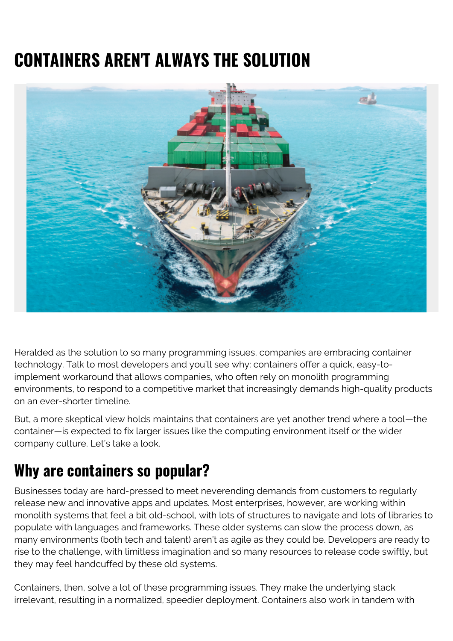## **CONTAINERS AREN'T ALWAYS THE SOLUTION**



Heralded as the solution to so many programming issues, companies are embracing container technology. Talk to most developers and you'll see why: containers offer a quick, easy-toimplement workaround that allows companies, who often rely on monolith programming environments, to respond to a competitive market that increasingly demands high-quality products on an ever-shorter timeline.

But, a more skeptical view holds maintains that containers are yet another trend where a tool—the container—is expected to fix larger issues like the computing environment itself or the wider company culture. Let's take a look.

## **Why are containers so popular?**

Businesses today are hard-pressed to meet neverending demands from customers to regularly release new and innovative apps and updates. Most enterprises, however, are working within monolith systems that feel a bit old-school, with lots of structures to navigate and lots of libraries to populate with languages and frameworks. These older systems can slow the process down, as many environments (both tech and talent) aren't as agile as they could be. Developers are ready to rise to the challenge, with limitless imagination and so many resources to release code swiftly, but they may feel handcuffed by these old systems.

Containers, then, solve a lot of these programming issues. They make the underlying stack irrelevant, resulting in a normalized, speedier deployment. Containers also work in tandem with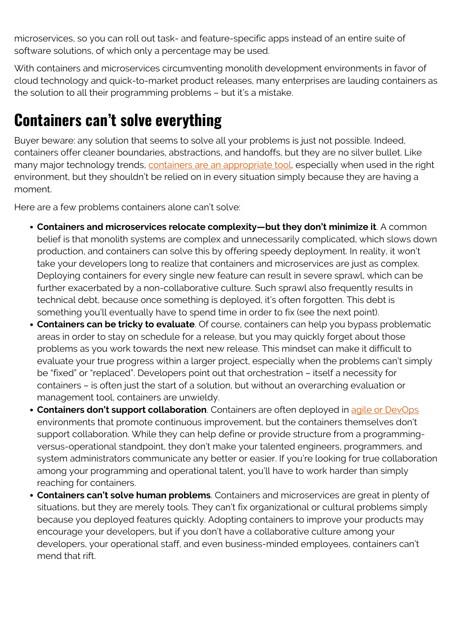microservices, so you can roll out task- and feature-specific apps instead of an entire suite of software solutions, of which only a percentage may be used.

With containers and microservices circumventing monolith development environments in favor of cloud technology and quick-to-market product releases, many enterprises are lauding containers as the solution to all their programming problems – but it's a mistake.

## **Containers can't solve everything**

Buyer beware: any solution that seems to solve all your problems is just not possible. Indeed, containers offer cleaner boundaries, abstractions, and handoffs, but they are no silver bullet. Like many major technology trends, [containers are an appropriate tool,](https://queue.acm.org/detail.cfm?id=3185224) especially when used in the right environment, but they shouldn't be relied on in every situation simply because they are having a moment.

Here are a few problems containers alone can't solve:

- **Containers and microservices relocate complexity—but they don't minimize it**. A common belief is that monolith systems are complex and unnecessarily complicated, which slows down production, and containers can solve this by offering speedy deployment. In reality, it won't take your developers long to realize that containers and microservices are just as complex. Deploying containers for every single new feature can result in severe sprawl, which can be further exacerbated by a non-collaborative culture. Such sprawl also frequently results in technical debt, because once something is deployed, it's often forgotten. This debt is something you'll eventually have to spend time in order to fix (see the next point).
- **Containers can be tricky to evaluate**. Of course, containers can help you bypass problematic areas in order to stay on schedule for a release, but you may quickly forget about those problems as you work towards the next new release. This mindset can make it difficult to evaluate your true progress within a larger project, especially when the problems can't simply be "fixed" or "replaced". Developers point out that orchestration – itself a necessity for containers – is often just the start of a solution, but without an overarching evaluation or management tool, containers are unwieldy.
- **Containers don't support collaboration**. Containers are often deployed in [agile or DevOps](https://blogs.bmc.com/blogs/devops-vs-agile-whats-the-difference-and-how-are-they-related/) environments that promote continuous improvement, but the containers themselves don't support collaboration. While they can help define or provide structure from a programmingversus-operational standpoint, they don't make your talented engineers, programmers, and system administrators communicate any better or easier. If you're looking for true collaboration among your programming and operational talent, you'll have to work harder than simply reaching for containers.
- **Containers can't solve human problems**. Containers and microservices are great in plenty of situations, but they are merely tools. They can't fix organizational or cultural problems simply because you deployed features quickly. Adopting containers to improve your products may encourage your developers, but if you don't have a collaborative culture among your developers, your operational staff, and even business-minded employees, containers can't mend that rift.